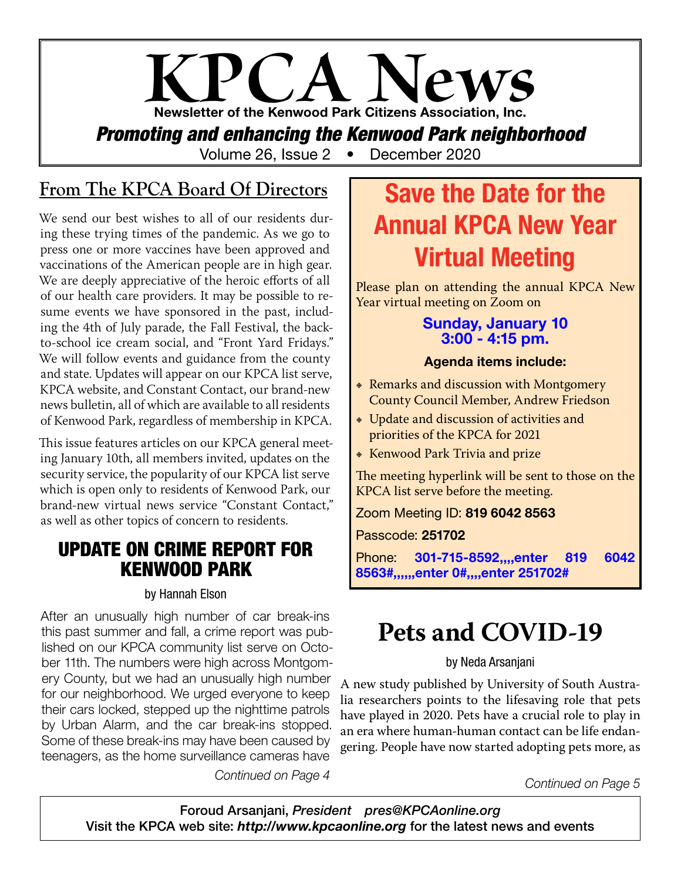# **KPCA News** Newsletter of the Kenwood Park Citizens Association, Inc.

*Promoting and enhancing the Kenwood Park neighborhood*

Volume 26, Issue 2 • December 2020

## **From The KPCA Board Of Directors**

We send our best wishes to all of our residents during these trying times of the pandemic. As we go to press one or more vaccines have been approved and vaccinations of the American people are in high gear. We are deeply appreciative of the heroic efforts of all of our health care providers. It may be possible to resume events we have sponsored in the past, including the 4th of July parade, the Fall Festival, the backto-school ice cream social, and "Front Yard Fridays." We will follow events and guidance from the county and state. Updates will appear on our KPCA list serve, KPCA website, and Constant Contact, our brand-new news bulletin, all of which are available to all residents of Kenwood Park, regardless of membership in KPCA.

This issue features articles on our KPCA general meeting January 10th, all members invited, updates on the security service, the popularity of our KPCA list serve which is open only to residents of Kenwood Park, our brand-new virtual news service "Constant Contact," as well as other topics of concern to residents.

### UPDATE ON CRIME REPORT FOR KENWOOD PARK

#### by Hannah Elson

After an unusually high number of car break-ins this past summer and fall, a crime report was published on our KPCA community list serve on October 11th. The numbers were high across Montgomery County, but we had an unusually high number for our neighborhood. We urged everyone to keep their cars locked, stepped up the nighttime patrols by Urban Alarm, and the car break-ins stopped. Some of these break-ins may have been caused by teenagers, as the home surveillance cameras have

*Continued on Page 4*

# Save the Date for the Annual KPCA New Year Virtual Meeting

Please plan on attending the annual KPCA New Year virtual meeting on Zoom on

#### Sunday, January 10 3:00 - 4:15 pm.

#### Agenda items include:

- **EXECUTE: Produce and discussion with Montgomery** County Council Member, Andrew Friedson
- Update and discussion of activities and priorities of the KPCA for 2021
- **EXECTM** Kenwood Park Trivia and prize

The meeting hyperlink will be sent to those on the KPCA list serve before the meeting.

Zoom Meeting ID: 819 6042 8563

Passcode: 251702

Phone: 301-715-8592,,,,enter 819 6042 8563#,,,,,,enter 0#,,,,enter 251702#

# **Pets and COVID-19**

#### by Neda Arsanjani

A new study published by University of South Australia researchers points to the lifesaving role that pets have played in 2020. Pets have a crucial role to play in an era where human-human contact can be life endangering. People have now started adopting pets more, as

*Continued on Page 5*

Foroud Arsanjani, *President pres@KPCAonline.org* Visit the KPCA web site: *http://www.kpcaonline.org* for the latest news and events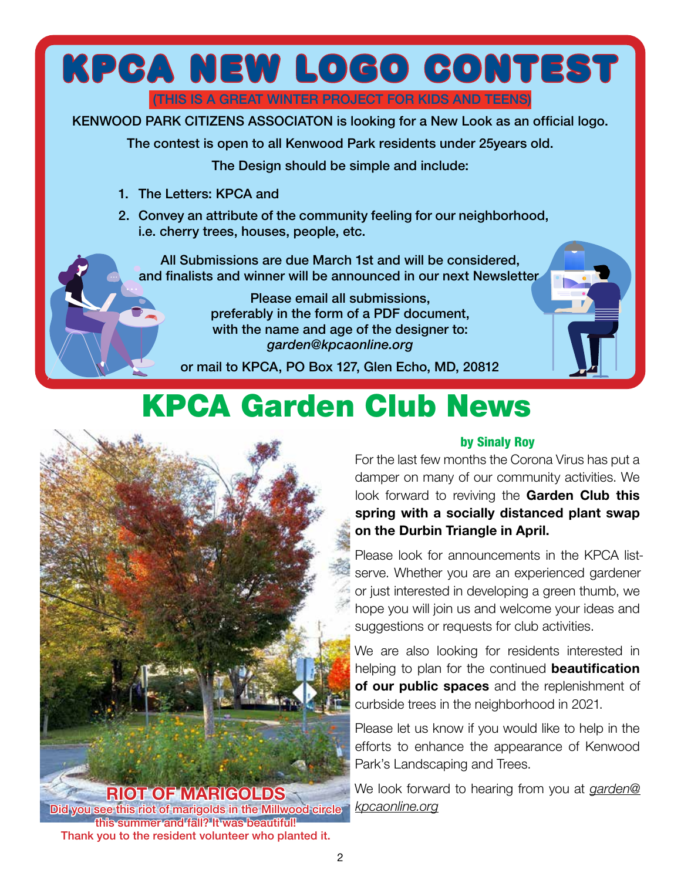



Did you see this riot of marigolds in the Millwood circle this summer and fall? It was beautiful! Thank you to the resident volunteer who planted it.

For the last few months the Corona Virus has put a damper on many of our community activities. We look forward to reviving the Garden Club this spring with a socially distanced plant swap on the Durbin Triangle in April.

Please look for announcements in the KPCA listserve. Whether you are an experienced gardener or just interested in developing a green thumb, we hope you will join us and welcome your ideas and suggestions or requests for club activities.

We are also looking for residents interested in helping to plan for the continued **beautification** of our public spaces and the replenishment of curbside trees in the neighborhood in 2021.

Please let us know if you would like to help in the efforts to enhance the appearance of Kenwood Park's Landscaping and Trees.

We look forward to hearing from you at *garden@ kpcaonline.org*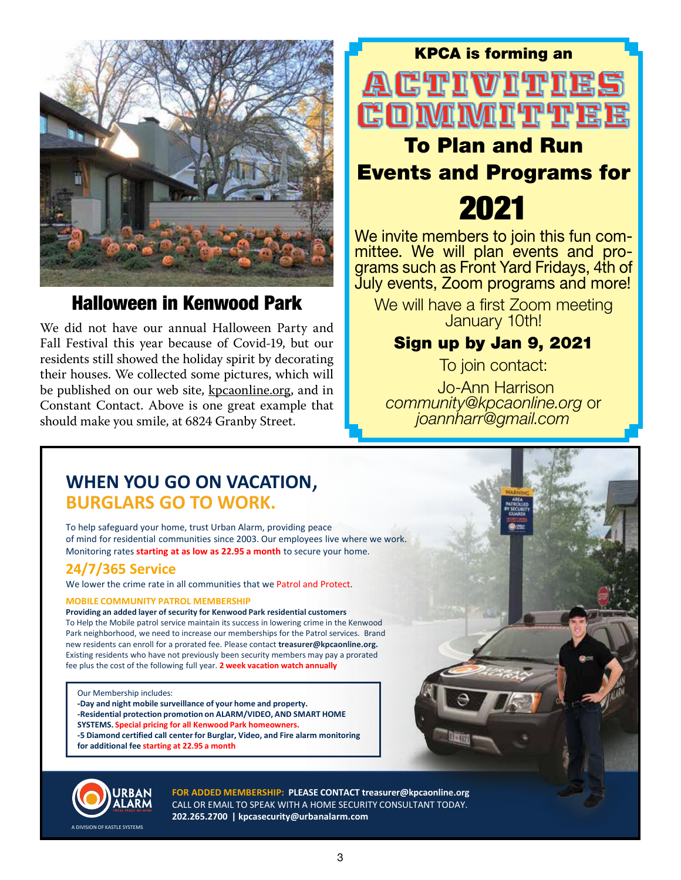

### Halloween in Kenwood Park

We did not have our annual Halloween Party and Fall Festival this year because of Covid-19, but our residents still showed the holiday spirit by decorating their houses. We collected some pictures, which will be published on our web site, kpcaonline.org, and in Constant Contact. Above is one great example that should make you smile, at 6824 Granby Street.

# ACTIVITIE! To Plan and Run

KPCA is forming an

# Events and Programs for

2021

We invite members to join this fun com-<br>mittee. We will plan events and pro-<br>grams such as Front Yard Fridays, 4th of July events, Zoom programs and more!

We will have a first Zoom meeting January 10th!

### Sign up by Jan 9, 2021

To join contact:

 Jo-Ann Harrison *community@kpcaonline.org* or *joannharr@gmail.com*

### **WHEN YOU GO ON VACATION**, **BURGLARS GO TO WORK.**

To help safeguard your home, trust Urban Alarm, providing peace of mind for residential communities since 2003. Our employees live where we work. Monitoring rates **starting at as low as 22.95 a month** to secure your home.

#### **24/7/365 Service**

We lower the crime rate in all communities that we Patrol and Protect.

#### **MOBILE COMMUNITY PATROL MEMBERSHIP**

**Providing an added layer of security for Kenwood Park residential customers** To Help the Mobile patrol service maintain its success in lowering crime in the Kenwood Park neighborhood, we need to increase our memberships for the Patrol services. Brand new residents can enroll for a prorated fee. Please contact **treasurer@kpcaonline.org.**  Existing residents who have not previously been security members may pay a prorated fee plus the cost of the following full year. **2 week vacation watch annually**

Our Membership includes:

**-Day and night mobile surveillance of your home and property. -Residential protection promotion on ALARM/VIDEO, AND SMART HOME SYSTEMS. Special pricing for all Kenwood Park homeowners. -5 Diamond certified call center for Burglar, Video, and Fire alarm monitoring**

**for additional fee starting at 22.95 a month**



**FOR ADDED MEMBERSHIP: PLEASE CONTACT treasurer@kpcaonline.org** CALL OR EMAIL TO SPEAK WITH A HOME SECURITY CONSULTANT TODAY. **202.265.2700 | kpcasecurity@urbanalarm.com**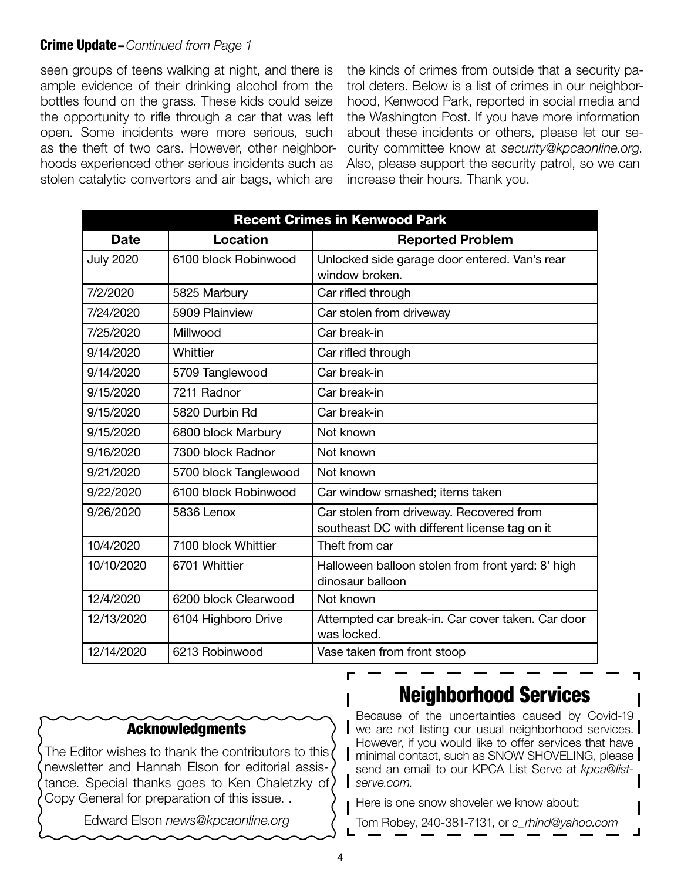#### Crime Update –*Continued from Page 1*

seen groups of teens walking at night, and there is ample evidence of their drinking alcohol from the bottles found on the grass. These kids could seize the opportunity to rifle through a car that was left open. Some incidents were more serious, such as the theft of two cars. However, other neighborhoods experienced other serious incidents such as stolen catalytic convertors and air bags, which are

the kinds of crimes from outside that a security patrol deters. Below is a list of crimes in our neighborhood, Kenwood Park, reported in social media and the Washington Post. If you have more information about these incidents or others, please let our security committee know at *security@kpcaonline.org*. Also, please support the security patrol, so we can increase their hours. Thank you.

| <b>Recent Crimes in Kenwood Park</b> |                       |                                                                                           |
|--------------------------------------|-----------------------|-------------------------------------------------------------------------------------------|
| <b>Date</b>                          | <b>Location</b>       | <b>Reported Problem</b>                                                                   |
| <b>July 2020</b>                     | 6100 block Robinwood  | Unlocked side garage door entered. Van's rear<br>window broken.                           |
| 7/2/2020                             | 5825 Marbury          | Car rifled through                                                                        |
| 7/24/2020                            | 5909 Plainview        | Car stolen from driveway                                                                  |
| 7/25/2020                            | Millwood              | Car break-in                                                                              |
| 9/14/2020                            | Whittier              | Car rifled through                                                                        |
| 9/14/2020                            | 5709 Tanglewood       | Car break-in                                                                              |
| 9/15/2020                            | 7211 Radnor           | Car break-in                                                                              |
| 9/15/2020                            | 5820 Durbin Rd        | Car break-in                                                                              |
| 9/15/2020                            | 6800 block Marbury    | Not known                                                                                 |
| 9/16/2020                            | 7300 block Radnor     | Not known                                                                                 |
| 9/21/2020                            | 5700 block Tanglewood | Not known                                                                                 |
| 9/22/2020                            | 6100 block Robinwood  | Car window smashed; items taken                                                           |
| 9/26/2020                            | 5836 Lenox            | Car stolen from driveway. Recovered from<br>southeast DC with different license tag on it |
| 10/4/2020                            | 7100 block Whittier   | Theft from car                                                                            |
| 10/10/2020                           | 6701 Whittier         | Halloween balloon stolen from front yard: 8' high<br>dinosaur balloon                     |
| 12/4/2020                            | 6200 block Clearwood  | Not known                                                                                 |
| 12/13/2020                           | 6104 Highboro Drive   | Attempted car break-in. Car cover taken. Car door<br>was locked.                          |
| 12/14/2020                           | 6213 Robinwood        | Vase taken from front stoop                                                               |

#### Acknowledgments

The Editor wishes to thank the contributors to this newsletter and Hannah Elson for editorial assistance. Special thanks goes to Ken Chaletzky of Copy General for preparation of this issue. .

Edward Elson *news@kpcaonline.org*

### Neighborhood Services

Because of the uncertainties caused by Covid-19 we are not listing our usual neighborhood services. However, if you would like to offer services that have | minimal contact, such as SNOW SHOVELING, please | send an email to our KPCA List Serve at *kpca@listserve.com.*

Here is one snow shoveler we know about:

Tom Robey, 240-381-7131, or *c\_rhind@yahoo.com*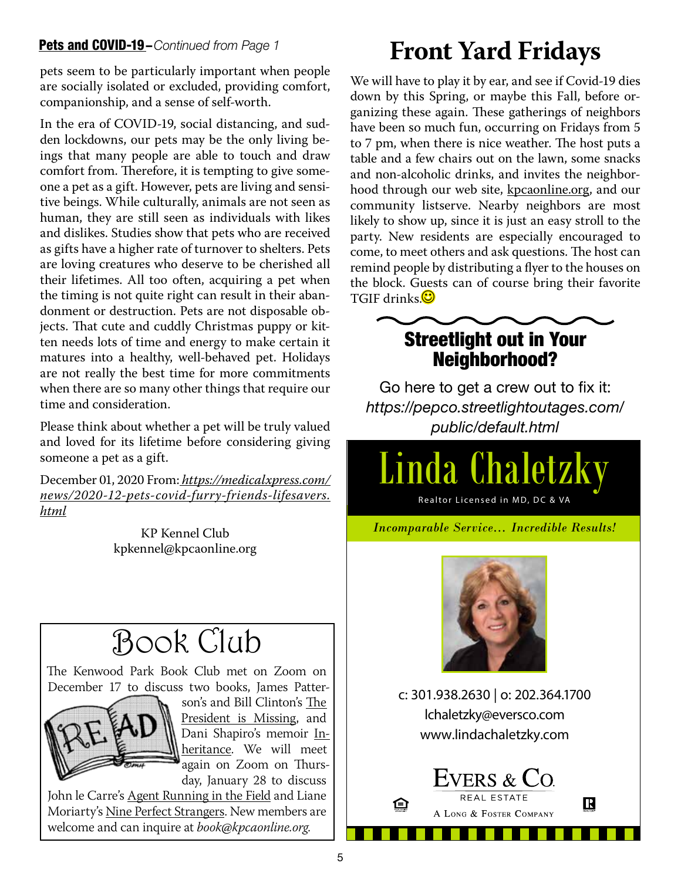#### Pets and COVID-19–*Continued from Page 1*

pets seem to be particularly important when people are socially isolated or excluded, providing comfort, companionship, and a sense of self-worth.

In the era of COVID-19, social distancing, and sudden lockdowns, our pets may be the only living beings that many people are able to touch and draw comfort from. Therefore, it is tempting to give someone a pet as a gift. However, pets are living and sensitive beings. While culturally, animals are not seen as human, they are still seen as individuals with likes and dislikes. Studies show that pets who are received as gifts have a higher rate of turnover to shelters. Pets are loving creatures who deserve to be cherished all their lifetimes. All too often, acquiring a pet when the timing is not quite right can result in their abandonment or destruction. Pets are not disposable objects. That cute and cuddly Christmas puppy or kitten needs lots of time and energy to make certain it matures into a healthy, well-behaved pet. Holidays are not really the best time for more commitments when there are so many other things that require our time and consideration.

Please think about whether a pet will be truly valued and loved for its lifetime before considering giving someone a pet as a gift.

December 01, 2020 From: *https://medicalxpress.com/ news/2020-12-pets-covid-furry-friends-lifesavers. html*

> KP Kennel Club kpkennel@kpcaonline.org

# Book Club

The Kenwood Park Book Club met on Zoom on December 17 to discuss two books, James Patter-



son's and Bill Clinton's The President is Missing, and Dani Shapiro's memoir Inheritance. We will meet again on Zoom on Thursday, January 28 to discuss

John le Carre's Agent Running in the Field and Liane Moriarty's Nine Perfect Strangers. New members are welcome and can inquire at *book@kpcaonline.org*.

# **Front Yard Fridays**

We will have to play it by ear, and see if Covid-19 dies down by this Spring, or maybe this Fall, before organizing these again. These gatherings of neighbors have been so much fun, occurring on Fridays from 5 to 7 pm, when there is nice weather. The host puts a table and a few chairs out on the lawn, some snacks and non-alcoholic drinks, and invites the neighborhood through our web site, kpcaonline.org, and our community listserve. Nearby neighbors are most likely to show up, since it is just an easy stroll to the party. New residents are especially encouraged to come, to meet others and ask questions. The host can remind people by distributing a flyer to the houses on the block. Guests can of course bring their favorite TGIF drinks.



### Streetlight out in Your Neighborhood?

Go here to get a crew out to fix it: *https://pepco.streetlightoutages.com/ public/default.html*

Linda Chaletzky

Realtor Licensed in MD, DC & VA

*Incomparable Service… Incredible Results!*



c: 301.938.2630 | o: 202.364.1700 lchaletzky@eversco.com www.lindachaletzky.com

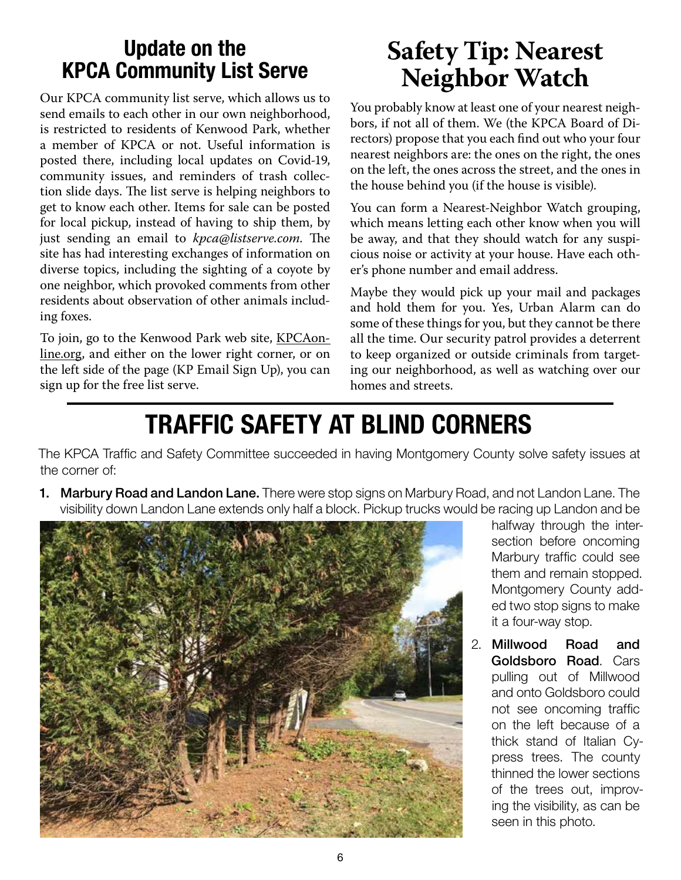## Update on the KPCA Community List Serve

Our KPCA community list serve, which allows us to send emails to each other in our own neighborhood, is restricted to residents of Kenwood Park, whether a member of KPCA or not. Useful information is posted there, including local updates on Covid-19, community issues, and reminders of trash collection slide days. The list serve is helping neighbors to get to know each other. Items for sale can be posted for local pickup, instead of having to ship them, by just sending an email to *kpca@listserve.com*. The site has had interesting exchanges of information on diverse topics, including the sighting of a coyote by one neighbor, which provoked comments from other residents about observation of other animals including foxes.

To join, go to the Kenwood Park web site, KPCAonline.org, and either on the lower right corner, or on the left side of the page (KP Email Sign Up), you can sign up for the free list serve.

# **Safety Tip: Nearest Neighbor Watch**

You probably know at least one of your nearest neighbors, if not all of them. We (the KPCA Board of Directors) propose that you each find out who your four nearest neighbors are: the ones on the right, the ones on the left, the ones across the street, and the ones in the house behind you (if the house is visible).

You can form a Nearest-Neighbor Watch grouping, which means letting each other know when you will be away, and that they should watch for any suspicious noise or activity at your house. Have each other's phone number and email address.

Maybe they would pick up your mail and packages and hold them for you. Yes, Urban Alarm can do some of these things for you, but they cannot be there all the time. Our security patrol provides a deterrent to keep organized or outside criminals from targeting our neighborhood, as well as watching over our homes and streets.

# TRAFFIC SAFETY AT BLIND CORNERS

The KPCA Traffic and Safety Committee succeeded in having Montgomery County solve safety issues at the corner of:

1. Marbury Road and Landon Lane. There were stop signs on Marbury Road, and not Landon Lane. The visibility down Landon Lane extends only half a block. Pickup trucks would be racing up Landon and be



halfway through the intersection before oncoming Marbury traffic could see them and remain stopped. Montgomery County added two stop signs to make it a four-way stop.

2. Millwood Road and Goldsboro Road. Cars pulling out of Millwood and onto Goldsboro could not see oncoming traffic on the left because of a thick stand of Italian Cypress trees. The county thinned the lower sections of the trees out, improving the visibility, as can be seen in this photo.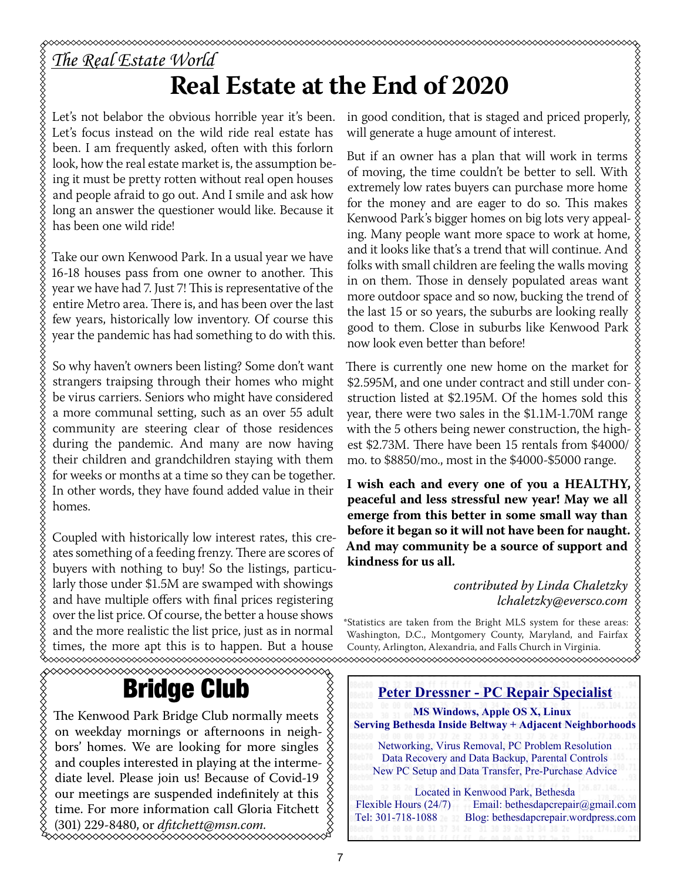# **Real Estate at the End of 2020**

Let's not belabor the obvious horrible year it's been. Let's focus instead on the wild ride real estate has been. I am frequently asked, often with this forlorn look, how the real estate market is, the assumption being it must be pretty rotten without real open houses and people afraid to go out. And I smile and ask how long an answer the questioner would like. Because it has been one wild ride!

Take our own Kenwood Park. In a usual year we have 16-18 houses pass from one owner to another. This year we have had 7. Just 7! This is representative of the entire Metro area. There is, and has been over the last few years, historically low inventory. Of course this year the pandemic has had something to do with this.

So why haven't owners been listing? Some don't want strangers traipsing through their homes who might be virus carriers. Seniors who might have considered a more communal setting, such as an over 55 adult community are steering clear of those residences during the pandemic. And many are now having their children and grandchildren staying with them for weeks or months at a time so they can be together. In other words, they have found added value in their homes.

Coupled with historically low interest rates, this creates something of a feeding frenzy. There are scores of buyers with nothing to buy! So the listings, particularly those under \$1.5M are swamped with showings and have multiple offers with final prices registering over the list price. Of course, the better a house shows and the more realistic the list price, just as in normal times, the more apt this is to happen. But a house

### Bridge Club

The Kenwood Park Bridge Club normally meets on weekday mornings or afternoons in neighbors' homes. We are looking for more singles and couples interested in playing at the interme-  $\frac{1}{2}$ diate level. Please join us! Because of Covid-19 our meetings are suspended indefinitely at this time. For more information call Gloria Fitchett (301) 229-8480, or *dfitchett@msn.com.* in good condition, that is staged and priced properly, will generate a huge amount of interest.

But if an owner has a plan that will work in terms of moving, the time couldn't be better to sell. With extremely low rates buyers can purchase more home for the money and are eager to do so. This makes Kenwood Park's bigger homes on big lots very appealing. Many people want more space to work at home,  $\frac{1}{2}$ and it looks like that's a trend that will continue. And folks with small children are feeling the walls moving in on them. Those in densely populated areas want more outdoor space and so now, bucking the trend of the last 15 or so years, the suburbs are looking really good to them. Close in suburbs like Kenwood Park now look even better than before!

There is currently one new home on the market for \$2.595M, and one under contract and still under construction listed at \$2.195M. Of the homes sold this year, there were two sales in the \$1.1M-1.70M range with the 5 others being newer construction, the highest \$2.73M. There have been 15 rentals from \$4000/ mo. to \$8850/mo., most in the \$4000-\$5000 range.

**I wish each and every one of you a HEALTHY, peaceful and less stressful new year! May we all emerge from this better in some small way than before it began so it will not have been for naught. And may community be a source of support and kindness for us all.**

#### *contributed by Linda Chaletzky lchaletzky@eversco.com*

\*Statistics are taken from the Bright MLS system for these areas: Washington, D.C., Montgomery County, Maryland, and Fairfax County, Arlington, Alexandria, and Falls Church in Virginia. ∞∞∞∞∞∞∞∞∞∞∞∞∞∞∞∞∞∞∞∞∞∞∞∞∞∞∞∞∞∞∞∞∞